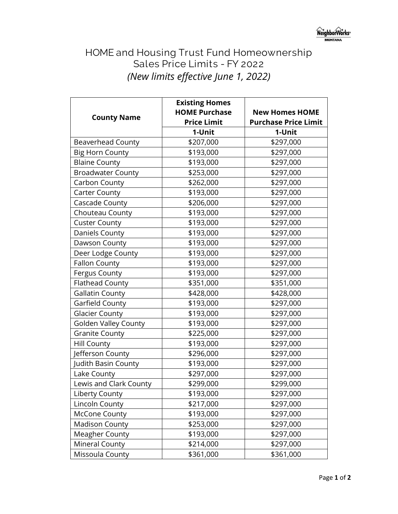## **HOME and Housing Trust Fund Homeownership Sales Price Limits - FY 2022** *(New limits effective June 1, 2022)*

|                             | <b>Existing Homes</b> |                             |
|-----------------------------|-----------------------|-----------------------------|
| <b>County Name</b>          | <b>HOME Purchase</b>  | <b>New Homes HOME</b>       |
|                             | <b>Price Limit</b>    | <b>Purchase Price Limit</b> |
|                             | 1-Unit                | 1-Unit                      |
| <b>Beaverhead County</b>    | \$207,000             | \$297,000                   |
| <b>Big Horn County</b>      | \$193,000             | \$297,000                   |
| <b>Blaine County</b>        | \$193,000             | \$297,000                   |
| <b>Broadwater County</b>    | \$253,000             | \$297,000                   |
| Carbon County               | \$262,000             | \$297,000                   |
| <b>Carter County</b>        | \$193,000             | \$297,000                   |
| Cascade County              | \$206,000             | \$297,000                   |
| Chouteau County             | \$193,000             | \$297,000                   |
| <b>Custer County</b>        | \$193,000             | \$297,000                   |
| Daniels County              | \$193,000             | \$297,000                   |
| Dawson County               | \$193,000             | \$297,000                   |
| Deer Lodge County           | \$193,000             | \$297,000                   |
| <b>Fallon County</b>        | \$193,000             | \$297,000                   |
| <b>Fergus County</b>        | \$193,000             | \$297,000                   |
| <b>Flathead County</b>      | \$351,000             | \$351,000                   |
| <b>Gallatin County</b>      | \$428,000             | \$428,000                   |
| Garfield County             | \$193,000             | \$297,000                   |
| <b>Glacier County</b>       | \$193,000             | \$297,000                   |
| <b>Golden Valley County</b> | \$193,000             | \$297,000                   |
| <b>Granite County</b>       | \$225,000             | \$297,000                   |
| Hill County                 | \$193,000             | \$297,000                   |
| Jefferson County            | \$296,000             | \$297,000                   |
| Judith Basin County         | \$193,000             | \$297,000                   |
| Lake County                 | \$297,000             | \$297,000                   |
| Lewis and Clark County      | \$299,000             | \$299,000                   |
| <b>Liberty County</b>       | \$193,000             | \$297,000                   |
| Lincoln County              | \$217,000             | \$297,000                   |
| <b>McCone County</b>        | \$193,000             | \$297,000                   |
| <b>Madison County</b>       | \$253,000             | \$297,000                   |
| <b>Meagher County</b>       | \$193,000             | \$297,000                   |
| Mineral County              | \$214,000             | \$297,000                   |
| Missoula County             | \$361,000             | \$361,000                   |